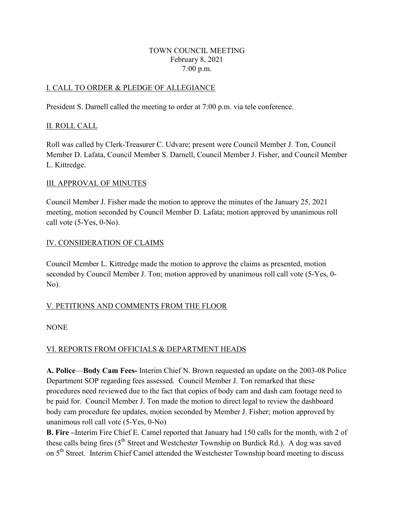#### TOWN COUNCIL MEETING February 8, 2021 7*:*00 p.m.

# I. CALL TO ORDER & PLEDGE OF ALLEGIANCE

President S. Darnell called the meeting to order at 7:00 p.m. via tele conference.

# II. ROLL CALL

Roll was called by Clerk-Treasurer C. Udvare; present were Council Member J. Ton, Council Member D. Lafata, Council Member S. Darnell, Council Member J. Fisher, and Council Member L. Kittredge.

## III. APPROVAL OF MINUTES

Council Member J. Fisher made the motion to approve the minutes of the January 25, 2021 meeting, motion seconded by Council Member D. Lafata; motion approved by unanimous roll call vote (5-Yes, 0-No).

# IV. CONSIDERATION OF CLAIMS

Council Member L. Kittredge made the motion to approve the claims as presented, motion seconded by Council Member J. Ton; motion approved by unanimous roll call vote (5-Yes, 0- No).

# V. PETITIONS AND COMMENTS FROM THE FLOOR

## **NONE**

# VI. REPORTS FROM OFFICIALS & DEPARTMENT HEADS

**A. Police**—**Body Cam Fees-** Interim Chief N. Brown requested an update on the 2003-08 Police Department SOP regarding fees assessed. Council Member J. Ton remarked that these procedures need reviewed due to the fact that copies of body cam and dash cam footage need to be paid for. Council Member J. Ton made the motion to direct legal to review the dashboard body cam procedure fee updates, motion seconded by Member J. Fisher; motion approved by unanimous roll call vote (5-Yes, 0-No)

**B. Fire –**Interim Fire Chief E. Camel reported that January had 150 calls for the month, with 2 of these calls being fires (5<sup>th</sup> Street and Westchester Township on Burdick Rd.). A dog was saved on 5<sup>th</sup> Street. Interim Chief Camel attended the Westchester Township board meeting to discuss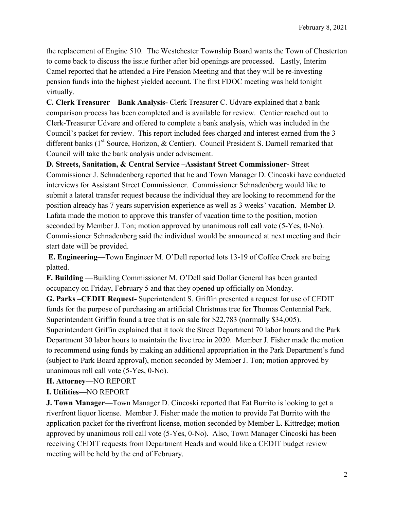the replacement of Engine 510. The Westchester Township Board wants the Town of Chesterton to come back to discuss the issue further after bid openings are processed. Lastly, Interim Camel reported that he attended a Fire Pension Meeting and that they will be re-investing pension funds into the highest yielded account. The first FDOC meeting was held tonight virtually.

**C. Clerk Treasurer** – **Bank Analysis-** Clerk Treasurer C. Udvare explained that a bank comparison process has been completed and is available for review. Centier reached out to Clerk-Treasurer Udvare and offered to complete a bank analysis, which was included in the Council's packet for review. This report included fees charged and interest earned from the 3 different banks (1<sup>st</sup> Source, Horizon, & Centier). Council President S. Darnell remarked that Council will take the bank analysis under advisement.

**D. Streets, Sanitation, & Central Service –Assistant Street Commissioner-** Street Commissioner J. Schnadenberg reported that he and Town Manager D. Cincoski have conducted interviews for Assistant Street Commissioner. Commissioner Schnadenberg would like to submit a lateral transfer request because the individual they are looking to recommend for the position already has 7 years supervision experience as well as 3 weeks' vacation. Member D. Lafata made the motion to approve this transfer of vacation time to the position, motion seconded by Member J. Ton; motion approved by unanimous roll call vote (5-Yes, 0-No). Commissioner Schnadenberg said the individual would be announced at next meeting and their start date will be provided.

**E. Engineering**—Town Engineer M. O'Dell reported lots 13-19 of Coffee Creek are being platted.

**F. Building** —Building Commissioner M. O'Dell said Dollar General has been granted occupancy on Friday, February 5 and that they opened up officially on Monday.

**G. Parks –CEDIT Request-** Superintendent S. Griffin presented a request for use of CEDIT funds for the purpose of purchasing an artificial Christmas tree for Thomas Centennial Park. Superintendent Griffin found a tree that is on sale for \$22,783 (normally \$34,005).

Superintendent Griffin explained that it took the Street Department 70 labor hours and the Park Department 30 labor hours to maintain the live tree in 2020. Member J. Fisher made the motion to recommend using funds by making an additional appropriation in the Park Department's fund (subject to Park Board approval), motion seconded by Member J. Ton; motion approved by unanimous roll call vote (5-Yes, 0-No).

## **H. Attorney**—NO REPORT

## **I. Utilities**—NO REPORT

**J. Town Manager**—Town Manager D. Cincoski reported that Fat Burrito is looking to get a riverfront liquor license. Member J. Fisher made the motion to provide Fat Burrito with the application packet for the riverfront license, motion seconded by Member L. Kittredge; motion approved by unanimous roll call vote (5-Yes, 0-No). Also, Town Manager Cincoski has been receiving CEDIT requests from Department Heads and would like a CEDIT budget review meeting will be held by the end of February.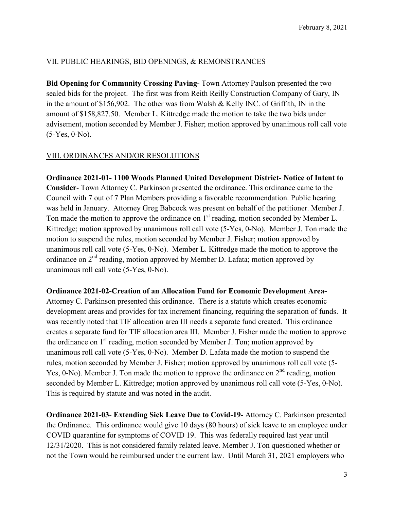## VII. PUBLIC HEARINGS, BID OPENINGS, & REMONSTRANCES

**Bid Opening for Community Crossing Paving-** Town Attorney Paulson presented the two sealed bids for the project. The first was from Reith Reilly Construction Company of Gary, IN in the amount of \$156,902. The other was from Walsh & Kelly INC. of Griffith, IN in the amount of \$158,827.50. Member L. Kittredge made the motion to take the two bids under advisement, motion seconded by Member J. Fisher; motion approved by unanimous roll call vote (5-Yes, 0-No).

# VIII. ORDINANCES AND/OR RESOLUTIONS

**Ordinance 2021-01- 1100 Woods Planned United Development District- Notice of Intent to Consider**- Town Attorney C. Parkinson presented the ordinance. This ordinance came to the Council with 7 out of 7 Plan Members providing a favorable recommendation. Public hearing was held in January. Attorney Greg Babcock was present on behalf of the petitioner. Member J. Ton made the motion to approve the ordinance on  $1<sup>st</sup>$  reading, motion seconded by Member L. Kittredge; motion approved by unanimous roll call vote (5-Yes, 0-No). Member J. Ton made the motion to suspend the rules, motion seconded by Member J. Fisher; motion approved by unanimous roll call vote (5-Yes, 0-No). Member L. Kittredge made the motion to approve the ordinance on  $2<sup>nd</sup>$  reading, motion approved by Member D. Lafata; motion approved by unanimous roll call vote (5-Yes, 0-No).

## **Ordinance 2021-02-Creation of an Allocation Fund for Economic Development Area-**

Attorney C. Parkinson presented this ordinance. There is a statute which creates economic development areas and provides for tax increment financing, requiring the separation of funds. It was recently noted that TIF allocation area III needs a separate fund created. This ordinance creates a separate fund for TIF allocation area III. Member J. Fisher made the motion to approve the ordinance on  $1<sup>st</sup>$  reading, motion seconded by Member J. Ton; motion approved by unanimous roll call vote (5-Yes, 0-No). Member D. Lafata made the motion to suspend the rules, motion seconded by Member J. Fisher; motion approved by unanimous roll call vote (5- Yes, 0-No). Member J. Ton made the motion to approve the ordinance on  $2<sup>nd</sup>$  reading, motion seconded by Member L. Kittredge; motion approved by unanimous roll call vote (5-Yes, 0-No). This is required by statute and was noted in the audit.

**Ordinance 2021-03**- **Extending Sick Leave Due to Covid-19-** Attorney C. Parkinson presented the Ordinance. This ordinance would give 10 days (80 hours) of sick leave to an employee under COVID quarantine for symptoms of COVID 19. This was federally required last year until 12/31/2020. This is not considered family related leave. Member J. Ton questioned whether or not the Town would be reimbursed under the current law. Until March 31, 2021 employers who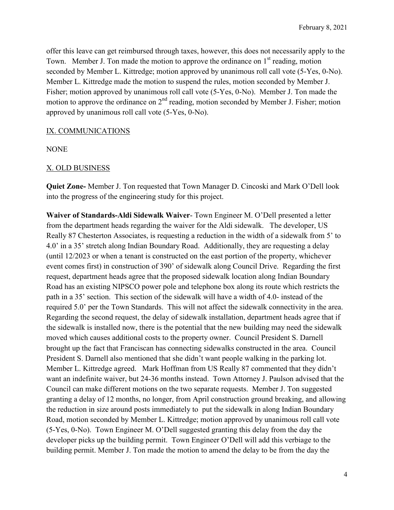offer this leave can get reimbursed through taxes, however, this does not necessarily apply to the Town. Member J. Ton made the motion to approve the ordinance on  $1<sup>st</sup>$  reading, motion seconded by Member L. Kittredge; motion approved by unanimous roll call vote (5-Yes, 0-No). Member L. Kittredge made the motion to suspend the rules, motion seconded by Member J. Fisher; motion approved by unanimous roll call vote (5-Yes, 0-No). Member J. Ton made the motion to approve the ordinance on  $2<sup>nd</sup>$  reading, motion seconded by Member J. Fisher; motion approved by unanimous roll call vote (5-Yes, 0-No).

#### IX. COMMUNICATIONS

NONE

#### X. OLD BUSINESS

**Quiet Zone-** Member J. Ton requested that Town Manager D. Cincoski and Mark O'Dell look into the progress of the engineering study for this project.

**Waiver of Standards-Aldi Sidewalk Waiver**- Town Engineer M. O'Dell presented a letter from the department heads regarding the waiver for the Aldi sidewalk. The developer, US Really 87 Chesterton Associates, is requesting a reduction in the width of a sidewalk from 5' to 4.0' in a 35' stretch along Indian Boundary Road. Additionally, they are requesting a delay (until 12/2023 or when a tenant is constructed on the east portion of the property, whichever event comes first) in construction of 390' of sidewalk along Council Drive. Regarding the first request, department heads agree that the proposed sidewalk location along Indian Boundary Road has an existing NIPSCO power pole and telephone box along its route which restricts the path in a 35' section. This section of the sidewalk will have a width of 4.0- instead of the required 5.0' per the Town Standards. This will not affect the sidewalk connectivity in the area. Regarding the second request, the delay of sidewalk installation, department heads agree that if the sidewalk is installed now, there is the potential that the new building may need the sidewalk moved which causes additional costs to the property owner. Council President S. Darnell brought up the fact that Franciscan has connecting sidewalks constructed in the area. Council President S. Darnell also mentioned that she didn't want people walking in the parking lot. Member L. Kittredge agreed. Mark Hoffman from US Really 87 commented that they didn't want an indefinite waiver, but 24-36 months instead. Town Attorney J. Paulson advised that the Council can make different motions on the two separate requests. Member J. Ton suggested granting a delay of 12 months, no longer, from April construction ground breaking, and allowing the reduction in size around posts immediately to put the sidewalk in along Indian Boundary Road, motion seconded by Member L. Kittredge; motion approved by unanimous roll call vote (5-Yes, 0-No). Town Engineer M. O'Dell suggested granting this delay from the day the developer picks up the building permit. Town Engineer O'Dell will add this verbiage to the building permit. Member J. Ton made the motion to amend the delay to be from the day the